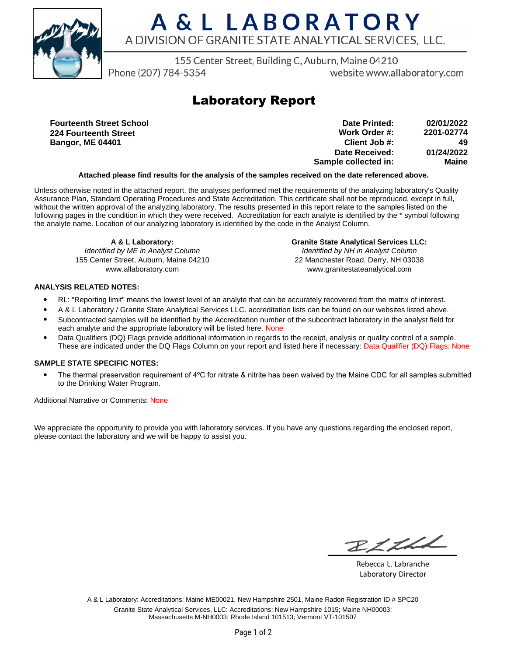

# A & L LABORATORY A DIVISION OF GRANITE STATE ANALYTICAL SERVICES. LLC.

155 Center Street, Building C, Auburn, Maine 04210

Phone (207) 784-5354

website www.allaboratory.com

### **Laboratory Report**

**Fourteenth Street School 224 Fourteenth Street Bangor, ME 04401**

| 02/01/2022 | Date Printed:        |
|------------|----------------------|
| 2201-02774 | Work Order #:        |
| 49         | Client Job #:        |
| 01/24/2022 | Date Received:       |
| Maine      | Sample collected in: |

#### **Attached please find results for the analysis of the samples received on the date referenced above.**

Unless otherwise noted in the attached report, the analyses performed met the requirements of the analyzing laboratory's Quality Assurance Plan, Standard Operating Procedures and State Accreditation. This certificate shall not be reproduced, except in full, without the written approval of the analyzing laboratory. The results presented in this report relate to the samples listed on the following pages in the condition in which they were received. Accreditation for each analyte is identified by the \* symbol following the analyte name. Location of our analyzing laboratory is identified by the code in the Analyst Column.

**A & L Laboratory:** Identified by ME in Analyst Column 155 Center Street, Auburn, Maine 04210 www.allaboratory.com

**Granite State Analytical Services LLC:** Identified by NH in Analyst Column 22 Manchester Road, Derry, NH 03038 www.granitestateanalytical.com

### **ANALYSIS RELATED NOTES:**

- RL: "Reporting limit" means the lowest level of an analyte that can be accurately recovered from the matrix of interest.
- A & L Laboratory / Granite State Analytical Services LLC. accreditation lists can be found on our websites listed above.
- Subcontracted samples will be identified by the Accreditation number of the subcontract laboratory in the analyst field for each analyte and the appropriate laboratory will be listed here. None
- Data Qualifiers (DQ) Flags provide additional information in regards to the receipt, analysis or quality control of a sample. These are indicated under the DQ Flags Column on your report and listed here if necessary: Data Qualifier (DQ) Flags: None

#### **SAMPLE STATE SPECIFIC NOTES:**

• The thermal preservation requirement of 4°C for nitrate & nitrite has been waived by the Maine CDC for all samples submitted to the Drinking Water Program.

Additional Narrative or Comments: None

We appreciate the opportunity to provide you with laboratory services. If you have any questions regarding the enclosed report, please contact the laboratory and we will be happy to assist you.

RICH

Rebecca L. Labranche Laboratory Director

A & L Laboratory: Accreditations: Maine ME00021, New Hampshire 2501, Maine Radon Registration ID # SPC20 Granite State Analytical Services, LLC: Accreditations: New Hampshire 1015; Maine NH00003; Massachusetts M-NH0003; Rhode Island 101513; Vermont VT-101507